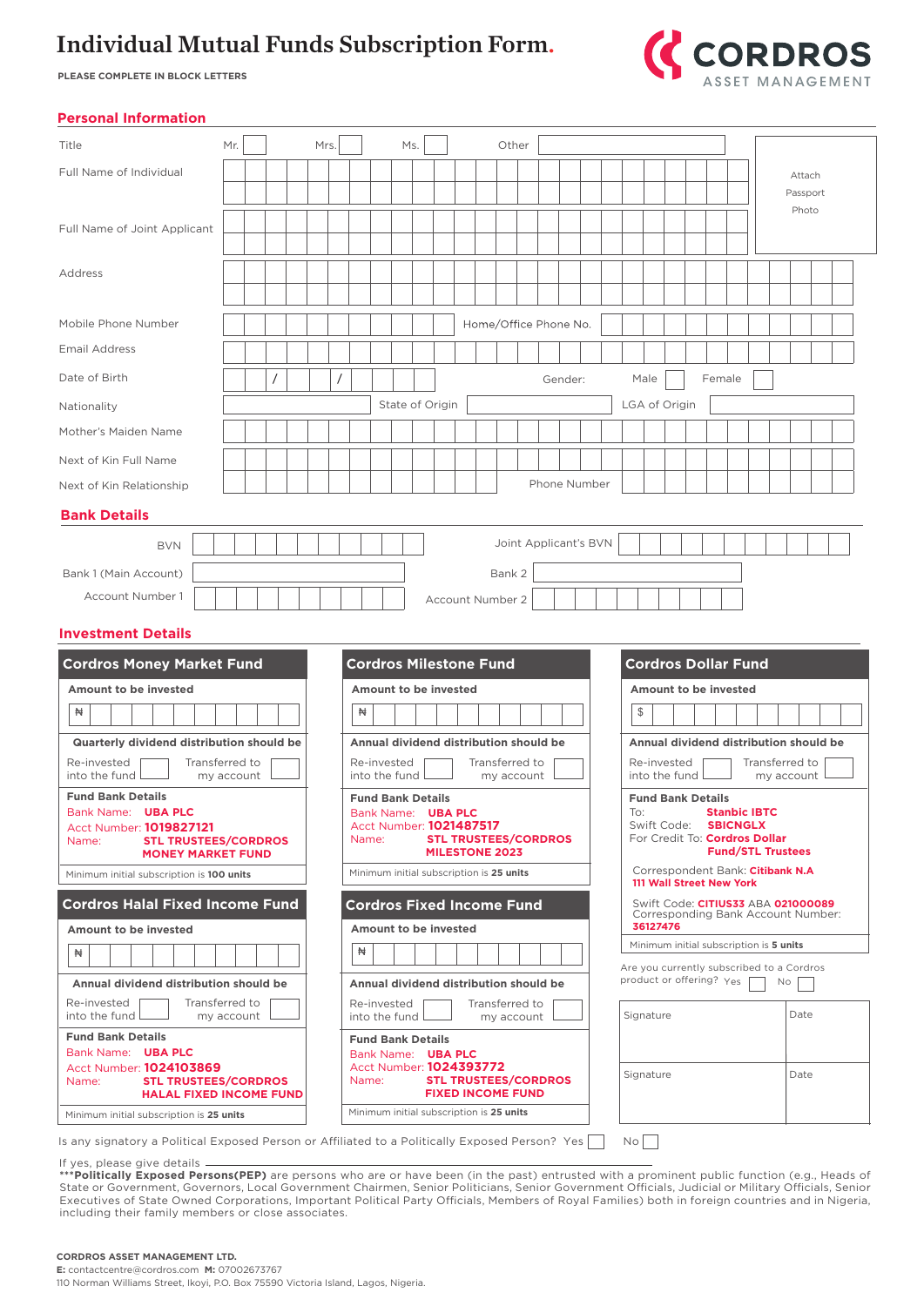# Individual Mutual Funds Subscription Form.

**PLEASE COMPLETE IN BLOCK LETTERS**



### **Personal Information**

| Title                                                                                        | Mr.              |  |  |  |                                                               | Mrs.                                                                                  |                                        |  | Ms. |                                          |  |  |  | Other                                               |                                                                          |                                        |  |               |      |  |  |        |  |                            |  |          |  |  |
|----------------------------------------------------------------------------------------------|------------------|--|--|--|---------------------------------------------------------------|---------------------------------------------------------------------------------------|----------------------------------------|--|-----|------------------------------------------|--|--|--|-----------------------------------------------------|--------------------------------------------------------------------------|----------------------------------------|--|---------------|------|--|--|--------|--|----------------------------|--|----------|--|--|
| Full Name of Individual                                                                      |                  |  |  |  |                                                               |                                                                                       |                                        |  |     |                                          |  |  |  |                                                     |                                                                          |                                        |  |               |      |  |  |        |  |                            |  | Attach   |  |  |
|                                                                                              |                  |  |  |  |                                                               |                                                                                       |                                        |  |     |                                          |  |  |  |                                                     |                                                                          |                                        |  |               |      |  |  |        |  |                            |  | Passport |  |  |
|                                                                                              |                  |  |  |  |                                                               |                                                                                       |                                        |  |     |                                          |  |  |  |                                                     |                                                                          |                                        |  |               |      |  |  |        |  |                            |  | Photo    |  |  |
| Full Name of Joint Applicant                                                                 |                  |  |  |  |                                                               |                                                                                       |                                        |  |     |                                          |  |  |  |                                                     |                                                                          |                                        |  |               |      |  |  |        |  |                            |  |          |  |  |
| Address                                                                                      |                  |  |  |  |                                                               |                                                                                       |                                        |  |     |                                          |  |  |  |                                                     |                                                                          |                                        |  |               |      |  |  |        |  |                            |  |          |  |  |
|                                                                                              |                  |  |  |  |                                                               |                                                                                       |                                        |  |     |                                          |  |  |  |                                                     |                                                                          |                                        |  |               |      |  |  |        |  |                            |  |          |  |  |
| Mobile Phone Number                                                                          |                  |  |  |  |                                                               |                                                                                       |                                        |  |     |                                          |  |  |  |                                                     | Home/Office Phone No.                                                    |                                        |  |               |      |  |  |        |  |                            |  |          |  |  |
| <b>Email Address</b>                                                                         |                  |  |  |  |                                                               |                                                                                       |                                        |  |     |                                          |  |  |  |                                                     |                                                                          |                                        |  |               |      |  |  |        |  |                            |  |          |  |  |
| Date of Birth                                                                                |                  |  |  |  |                                                               |                                                                                       |                                        |  |     |                                          |  |  |  |                                                     |                                                                          | Gender:                                |  |               | Male |  |  | Female |  |                            |  |          |  |  |
| Nationality                                                                                  |                  |  |  |  |                                                               |                                                                                       |                                        |  |     | State of Origin                          |  |  |  |                                                     |                                                                          |                                        |  | LGA of Origin |      |  |  |        |  |                            |  |          |  |  |
| Mother's Maiden Name                                                                         |                  |  |  |  |                                                               |                                                                                       |                                        |  |     |                                          |  |  |  |                                                     |                                                                          |                                        |  |               |      |  |  |        |  |                            |  |          |  |  |
| Next of Kin Full Name                                                                        |                  |  |  |  |                                                               |                                                                                       |                                        |  |     |                                          |  |  |  |                                                     |                                                                          |                                        |  |               |      |  |  |        |  |                            |  |          |  |  |
| Next of Kin Relationship                                                                     |                  |  |  |  |                                                               |                                                                                       |                                        |  |     |                                          |  |  |  |                                                     |                                                                          | Phone Number                           |  |               |      |  |  |        |  |                            |  |          |  |  |
| <b>Bank Details</b>                                                                          |                  |  |  |  |                                                               |                                                                                       |                                        |  |     |                                          |  |  |  |                                                     |                                                                          |                                        |  |               |      |  |  |        |  |                            |  |          |  |  |
| <b>BVN</b>                                                                                   |                  |  |  |  |                                                               |                                                                                       |                                        |  |     |                                          |  |  |  |                                                     | Joint Applicant's BVN                                                    |                                        |  |               |      |  |  |        |  |                            |  |          |  |  |
| Bank 1 (Main Account)                                                                        |                  |  |  |  |                                                               |                                                                                       |                                        |  |     |                                          |  |  |  | Bank 2                                              |                                                                          |                                        |  |               |      |  |  |        |  |                            |  |          |  |  |
| Account Number 1                                                                             | Account Number 2 |  |  |  |                                                               |                                                                                       |                                        |  |     |                                          |  |  |  |                                                     |                                                                          |                                        |  |               |      |  |  |        |  |                            |  |          |  |  |
| <b>Investment Details</b>                                                                    |                  |  |  |  |                                                               |                                                                                       |                                        |  |     |                                          |  |  |  |                                                     |                                                                          |                                        |  |               |      |  |  |        |  |                            |  |          |  |  |
|                                                                                              |                  |  |  |  |                                                               |                                                                                       |                                        |  |     |                                          |  |  |  |                                                     |                                                                          |                                        |  |               |      |  |  |        |  |                            |  |          |  |  |
| <b>Cordros Money Market Fund</b>                                                             |                  |  |  |  |                                                               |                                                                                       |                                        |  |     | <b>Cordros Milestone Fund</b>            |  |  |  |                                                     |                                                                          |                                        |  |               |      |  |  |        |  | <b>Cordros Dollar Fund</b> |  |          |  |  |
| Amount to be invested<br>₩                                                                   |                  |  |  |  |                                                               |                                                                                       | Amount to be invested<br>₩             |  |     |                                          |  |  |  |                                                     | <b>Amount to be invested</b><br>\$                                       |                                        |  |               |      |  |  |        |  |                            |  |          |  |  |
| Quarterly dividend distribution should be                                                    |                  |  |  |  |                                                               |                                                                                       | Annual dividend distribution should be |  |     |                                          |  |  |  |                                                     |                                                                          | Annual dividend distribution should be |  |               |      |  |  |        |  |                            |  |          |  |  |
| Re-invested<br>Transferred to<br>into the fund<br>my account                                 |                  |  |  |  |                                                               | Re-invested<br>Transferred to<br>into the fund<br>my account                          |                                        |  |     |                                          |  |  |  |                                                     | Transferred to<br>Re-invested<br>into the fund<br>my account             |                                        |  |               |      |  |  |        |  |                            |  |          |  |  |
| <b>Fund Bank Details</b>                                                                     |                  |  |  |  | <b>Fund Bank Details</b>                                      |                                                                                       |                                        |  |     |                                          |  |  |  |                                                     | <b>Fund Bank Details</b>                                                 |                                        |  |               |      |  |  |        |  |                            |  |          |  |  |
| Bank Name: UBA PLC<br>Acct Number: 1019827121                                                |                  |  |  |  | Bank Name: UBA PLC<br>Acct Number: <b>1021487517</b>          |                                                                                       |                                        |  |     |                                          |  |  |  |                                                     | <b>Stanbic IBTC</b><br>To:<br>Swift Code: <b>SBICNGLX</b>                |                                        |  |               |      |  |  |        |  |                            |  |          |  |  |
| Name:<br><b>STL TRUSTEES/CORDROS</b><br><b>MONEY MARKET FUND</b>                             |                  |  |  |  | Name:<br><b>STL TRUSTEES/CORDROS</b><br><b>MILESTONE 2023</b> |                                                                                       |                                        |  |     |                                          |  |  |  |                                                     | For Credit To: Cordros Dollar<br><b>Fund/STL Trustees</b>                |                                        |  |               |      |  |  |        |  |                            |  |          |  |  |
| Minimum initial subscription is 100 units                                                    |                  |  |  |  | Minimum initial subscription is 25 units                      |                                                                                       |                                        |  |     |                                          |  |  |  |                                                     | Correspondent Bank: Citibank N.A<br>111 Wall Street New York             |                                        |  |               |      |  |  |        |  |                            |  |          |  |  |
| <b>Cordros Halal Fixed Income Fund</b>                                                       |                  |  |  |  |                                                               | <b>Cordros Fixed Income Fund</b>                                                      |                                        |  |     |                                          |  |  |  |                                                     | Swift Code: CITIUS33 ABA 021000089<br>Corresponding Bank Account Number: |                                        |  |               |      |  |  |        |  |                            |  |          |  |  |
| Amount to be invested                                                                        |                  |  |  |  | Amount to be invested                                         |                                                                                       |                                        |  |     |                                          |  |  |  | 36127476<br>Minimum initial subscription is 5 units |                                                                          |                                        |  |               |      |  |  |        |  |                            |  |          |  |  |
| ₩                                                                                            |                  |  |  |  | ₩                                                             |                                                                                       |                                        |  |     |                                          |  |  |  | Are you currently subscribed to a Cordros           |                                                                          |                                        |  |               |      |  |  |        |  |                            |  |          |  |  |
| Annual dividend distribution should be                                                       |                  |  |  |  | Annual dividend distribution should be                        |                                                                                       |                                        |  |     |                                          |  |  |  | product or offering? Yes<br>No                      |                                                                          |                                        |  |               |      |  |  |        |  |                            |  |          |  |  |
| Transferred to<br>Re-invested<br>into the fund<br>my account                                 |                  |  |  |  |                                                               | Re-invested<br>Transferred to<br>into the fund<br>my account                          |                                        |  |     |                                          |  |  |  | Date<br>Signature                                   |                                                                          |                                        |  |               |      |  |  |        |  |                            |  |          |  |  |
| <b>Fund Bank Details</b>                                                                     |                  |  |  |  |                                                               |                                                                                       |                                        |  |     | <b>Fund Bank Details</b>                 |  |  |  |                                                     |                                                                          |                                        |  |               |      |  |  |        |  |                            |  |          |  |  |
| Bank Name: UBA PLC<br>Acct Number: <b>1024103869</b><br>Name:<br><b>STL TRUSTEES/CORDROS</b> |                  |  |  |  |                                                               | Bank Name: UBA PLC<br>Acct Number: 1024393772<br>Name:<br><b>STL TRUSTEES/CORDROS</b> |                                        |  |     |                                          |  |  |  | Signature                                           |                                                                          |                                        |  |               | Date |  |  |        |  |                            |  |          |  |  |
|                                                                                              |                  |  |  |  |                                                               |                                                                                       |                                        |  |     |                                          |  |  |  |                                                     |                                                                          |                                        |  |               |      |  |  |        |  |                            |  |          |  |  |
| <b>HALAL FIXED INCOME FUND</b><br>Minimum initial subscription is 25 units                   |                  |  |  |  |                                                               |                                                                                       |                                        |  |     | Minimum initial subscription is 25 units |  |  |  |                                                     | <b>FIXED INCOME FUND</b>                                                 |                                        |  |               |      |  |  |        |  |                            |  |          |  |  |

Is any signatory a Political Exposed Person or Affiliated to a Politically Exposed Person? Yes  $|\;\;|$  No

#### If yes, please give details

**\*\*\*Politically Exposed Persons(PEP)** are persons who are or have been (in the past) entrusted with a prominent public function (e.g., Heads of State or Government, Governors, Local Government Chairmen, Senior Politicians, Senior Government Officials, Judicial or Military Officials, Senior Executives of State Owned Corporations, Important Political Party Officials, Members of Royal Families) both in foreign countries and in Nigeria, including their family members or close associates.

#### **CORDROS ASSET MANAGEMENT LTD.**

**E:** contactcentre@cordros.com **M:** 07002673767 110 Norman Williams Street, Ikoyi, P.O. Box 75590 Victoria Island, Lagos, Nigeria.